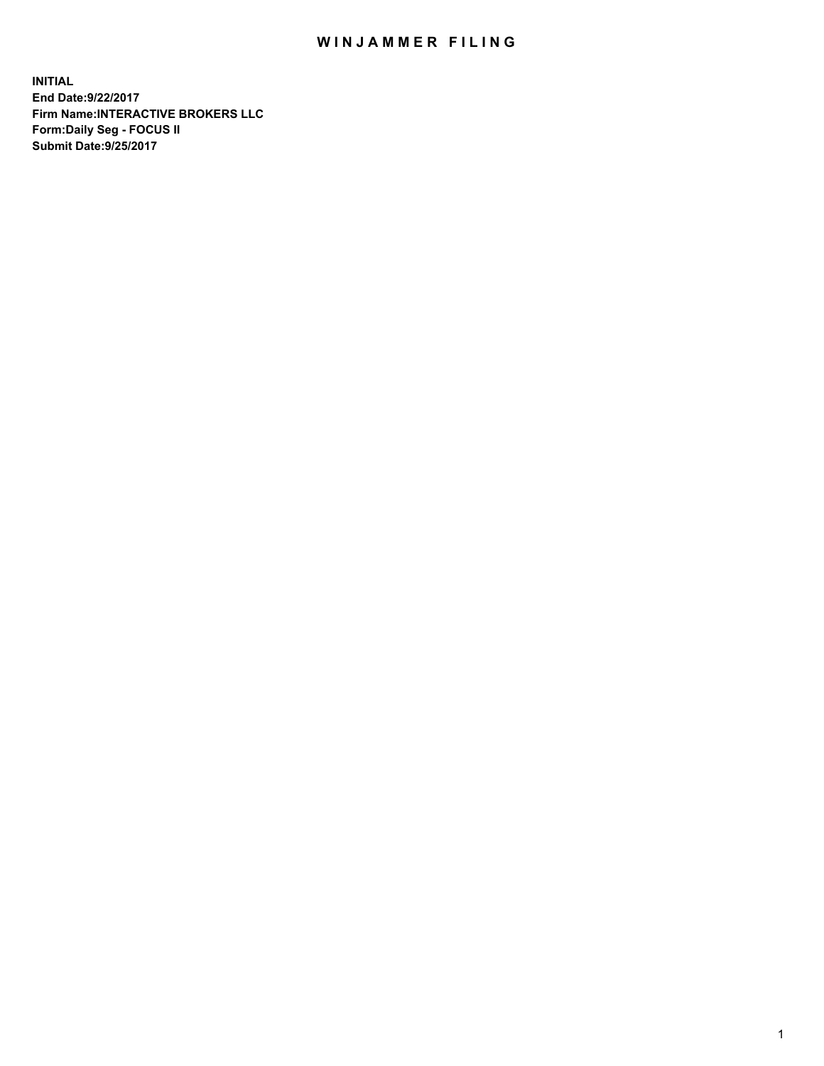## WIN JAMMER FILING

**INITIAL End Date:9/22/2017 Firm Name:INTERACTIVE BROKERS LLC Form:Daily Seg - FOCUS II Submit Date:9/25/2017**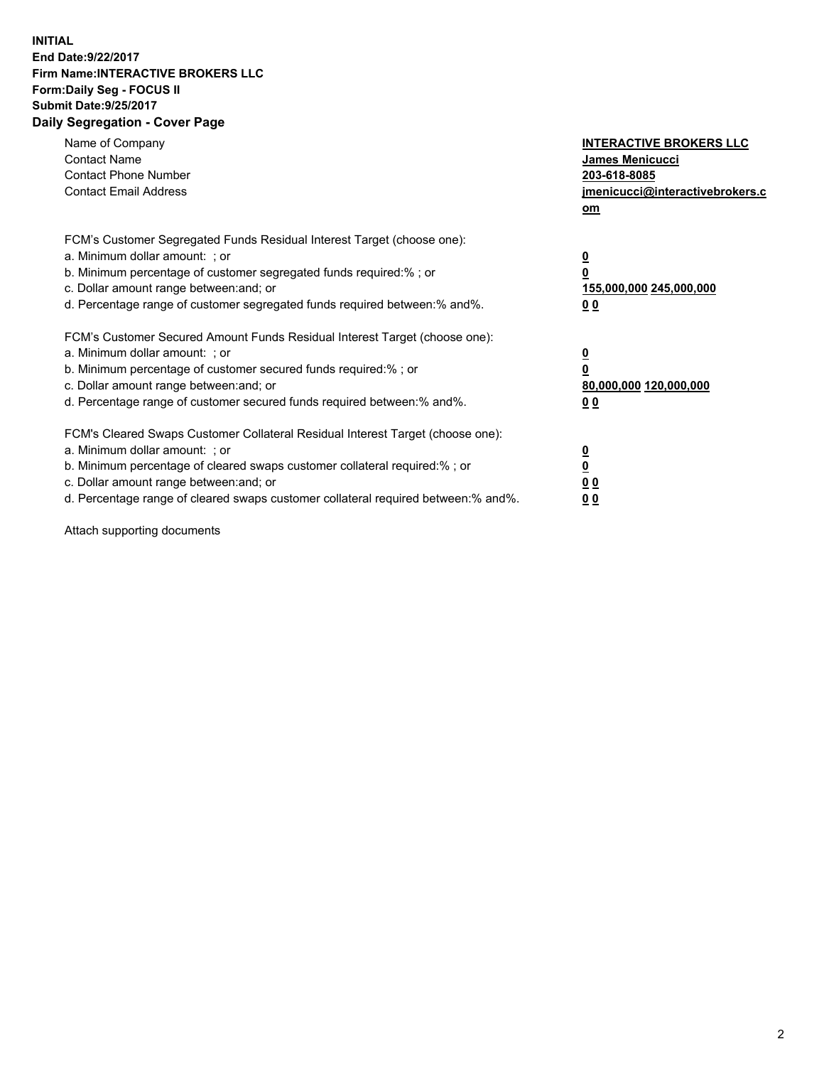## **INITIAL End Date:9/22/2017 Firm Name:INTERACTIVE BROKERS LLC Form:Daily Seg - FOCUS II Submit Date:9/25/2017 Daily Segregation - Cover Page**

| Name of Company<br><b>Contact Name</b><br><b>Contact Phone Number</b><br><b>Contact Email Address</b>                                                                                                                                                                                                                          | <b>INTERACTIVE BROKERS LLC</b><br><b>James Menicucci</b><br>203-618-8085<br>jmenicucci@interactivebrokers.c<br>om |
|--------------------------------------------------------------------------------------------------------------------------------------------------------------------------------------------------------------------------------------------------------------------------------------------------------------------------------|-------------------------------------------------------------------------------------------------------------------|
| FCM's Customer Segregated Funds Residual Interest Target (choose one):<br>a. Minimum dollar amount: ; or<br>b. Minimum percentage of customer segregated funds required:%; or<br>c. Dollar amount range between: and; or<br>d. Percentage range of customer segregated funds required between:% and%.                          | $\overline{\mathbf{0}}$<br>0<br>155,000,000 245,000,000<br>0 <sub>0</sub>                                         |
| FCM's Customer Secured Amount Funds Residual Interest Target (choose one):<br>a. Minimum dollar amount: ; or<br>b. Minimum percentage of customer secured funds required:%; or<br>c. Dollar amount range between: and; or<br>d. Percentage range of customer secured funds required between: % and %.                          | $\overline{\mathbf{0}}$<br>0<br>80,000,000 120,000,000<br>00                                                      |
| FCM's Cleared Swaps Customer Collateral Residual Interest Target (choose one):<br>a. Minimum dollar amount: ; or<br>b. Minimum percentage of cleared swaps customer collateral required:% ; or<br>c. Dollar amount range between: and; or<br>d. Percentage range of cleared swaps customer collateral required between:% and%. | $\overline{\mathbf{0}}$<br>$\overline{\mathbf{0}}$<br>0 <sub>0</sub><br><u>00</u>                                 |

Attach supporting documents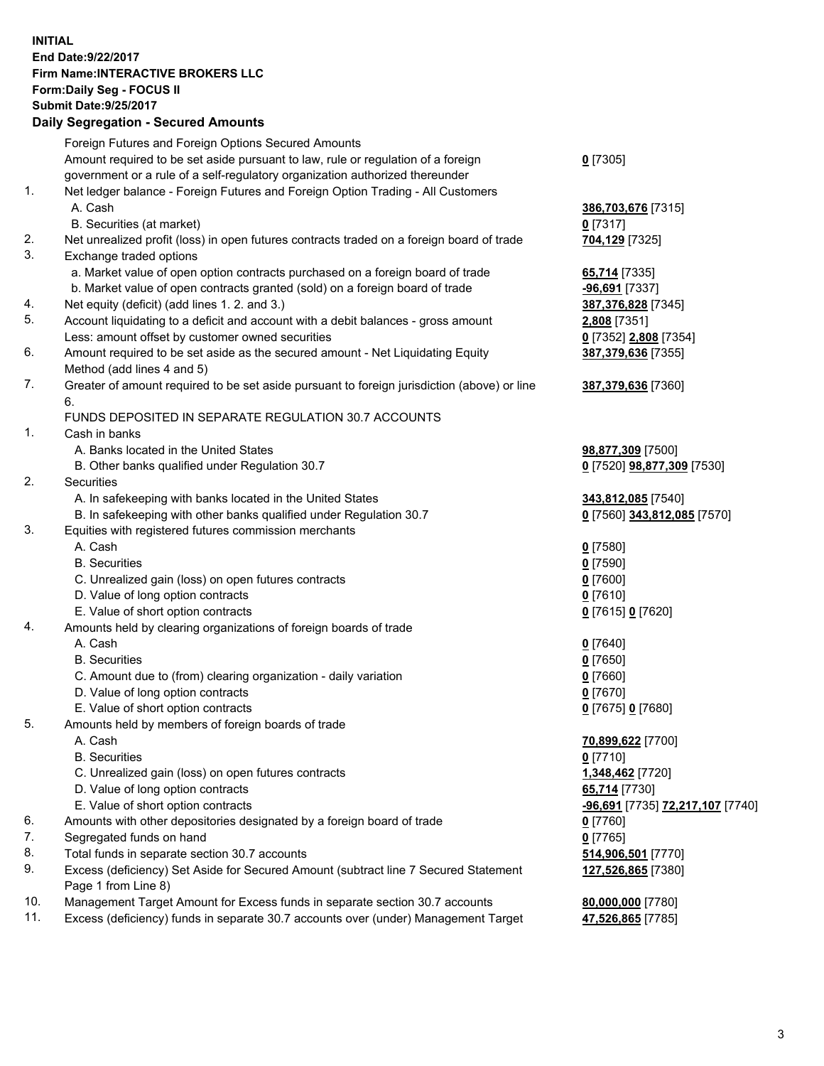## **INITIAL End Date:9/22/2017 Firm Name:INTERACTIVE BROKERS LLC Form:Daily Seg - FOCUS II Submit Date:9/25/2017 Daily Segregation - Secured Amounts**

|     | Foreign Futures and Foreign Options Secured Amounts                                         |                                  |
|-----|---------------------------------------------------------------------------------------------|----------------------------------|
|     | Amount required to be set aside pursuant to law, rule or regulation of a foreign            | $0$ [7305]                       |
|     | government or a rule of a self-regulatory organization authorized thereunder                |                                  |
| 1.  | Net ledger balance - Foreign Futures and Foreign Option Trading - All Customers             |                                  |
|     | A. Cash                                                                                     | 386,703,676 [7315]               |
|     | B. Securities (at market)                                                                   | $0$ [7317]                       |
| 2.  | Net unrealized profit (loss) in open futures contracts traded on a foreign board of trade   | 704,129 [7325]                   |
| 3.  | Exchange traded options                                                                     |                                  |
|     | a. Market value of open option contracts purchased on a foreign board of trade              | 65,714 [7335]                    |
|     | b. Market value of open contracts granted (sold) on a foreign board of trade                |                                  |
|     |                                                                                             | -96,691 [7337]                   |
| 4.  | Net equity (deficit) (add lines 1. 2. and 3.)                                               | 387,376,828 [7345]               |
| 5.  | Account liquidating to a deficit and account with a debit balances - gross amount           | 2,808 [7351]                     |
|     | Less: amount offset by customer owned securities                                            | 0 [7352] 2,808 [7354]            |
| 6.  | Amount required to be set aside as the secured amount - Net Liquidating Equity              | 387,379,636 [7355]               |
|     | Method (add lines 4 and 5)                                                                  |                                  |
| 7.  | Greater of amount required to be set aside pursuant to foreign jurisdiction (above) or line | 387,379,636 [7360]               |
|     | 6.                                                                                          |                                  |
|     | FUNDS DEPOSITED IN SEPARATE REGULATION 30.7 ACCOUNTS                                        |                                  |
| 1.  | Cash in banks                                                                               |                                  |
|     | A. Banks located in the United States                                                       | 98,877,309 [7500]                |
|     | B. Other banks qualified under Regulation 30.7                                              | 0 [7520] 98,877,309 [7530]       |
| 2.  | Securities                                                                                  |                                  |
|     | A. In safekeeping with banks located in the United States                                   | 343,812,085 [7540]               |
|     | B. In safekeeping with other banks qualified under Regulation 30.7                          | 0 [7560] 343,812,085 [7570]      |
| 3.  | Equities with registered futures commission merchants                                       |                                  |
|     | A. Cash                                                                                     | $0$ [7580]                       |
|     | <b>B.</b> Securities                                                                        | $0$ [7590]                       |
|     | C. Unrealized gain (loss) on open futures contracts                                         | $0$ [7600]                       |
|     | D. Value of long option contracts                                                           | $0$ [7610]                       |
|     | E. Value of short option contracts                                                          | 0 [7615] 0 [7620]                |
| 4.  | Amounts held by clearing organizations of foreign boards of trade                           |                                  |
|     | A. Cash                                                                                     | $0$ [7640]                       |
|     | <b>B.</b> Securities                                                                        | $0$ [7650]                       |
|     | C. Amount due to (from) clearing organization - daily variation                             | $0$ [7660]                       |
|     |                                                                                             |                                  |
|     | D. Value of long option contracts                                                           | $0$ [7670]                       |
|     | E. Value of short option contracts                                                          | 0 [7675] 0 [7680]                |
| 5.  | Amounts held by members of foreign boards of trade                                          |                                  |
|     | A. Cash                                                                                     | 70,899,622 [7700]                |
|     | <b>B.</b> Securities                                                                        | $0$ [7710]                       |
|     | C. Unrealized gain (loss) on open futures contracts                                         | 1,348,462 [7720]                 |
|     | D. Value of long option contracts                                                           | 65,714 [7730]                    |
|     | E. Value of short option contracts                                                          | -96,691 [7735] 72,217,107 [7740] |
| 6.  | Amounts with other depositories designated by a foreign board of trade                      | $0$ [7760]                       |
| 7.  | Segregated funds on hand                                                                    | $0$ [7765]                       |
| 8.  | Total funds in separate section 30.7 accounts                                               | 514,906,501 [7770]               |
| 9.  | Excess (deficiency) Set Aside for Secured Amount (subtract line 7 Secured Statement         | 127,526,865 [7380]               |
|     | Page 1 from Line 8)                                                                         |                                  |
| 10. | Management Target Amount for Excess funds in separate section 30.7 accounts                 | 80,000,000 [7780]                |
| 11. | Excess (deficiency) funds in separate 30.7 accounts over (under) Management Target          | 47,526,865 [7785]                |
|     |                                                                                             |                                  |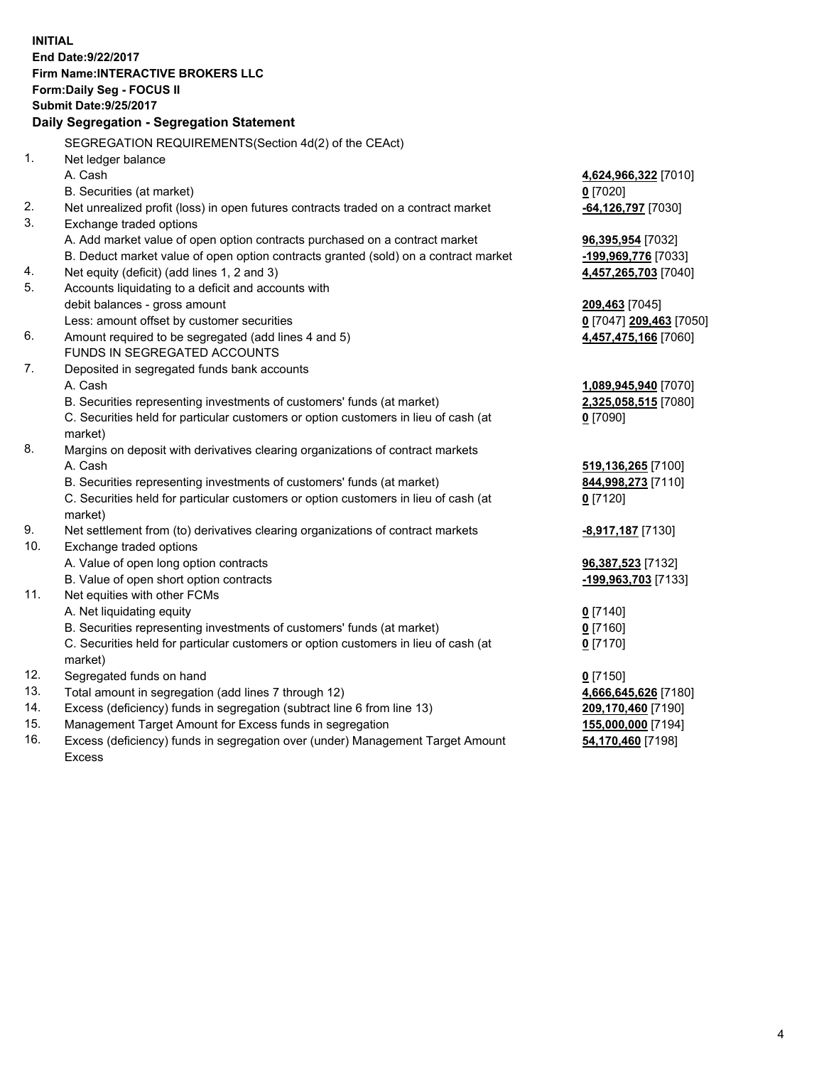**INITIAL End Date:9/22/2017 Firm Name:INTERACTIVE BROKERS LLC Form:Daily Seg - FOCUS II Submit Date:9/25/2017 Daily Segregation - Segregation Statement** SEGREGATION REQUIREMENTS(Section 4d(2) of the CEAct) 1. Net ledger balance A. Cash **4,624,966,322** [7010] B. Securities (at market) **0** [7020] 2. Net unrealized profit (loss) in open futures contracts traded on a contract market **-64,126,797** [7030] 3. Exchange traded options A. Add market value of open option contracts purchased on a contract market **96,395,954** [7032] B. Deduct market value of open option contracts granted (sold) on a contract market **-199,969,776** [7033] 4. Net equity (deficit) (add lines 1, 2 and 3) **4,457,265,703** [7040] 5. Accounts liquidating to a deficit and accounts with debit balances - gross amount **209,463** [7045] Less: amount offset by customer securities **0** [7047] **209,463** [7050] 6. Amount required to be segregated (add lines 4 and 5) **4,457,475,166** [7060] FUNDS IN SEGREGATED ACCOUNTS 7. Deposited in segregated funds bank accounts A. Cash **1,089,945,940** [7070] B. Securities representing investments of customers' funds (at market) **2,325,058,515** [7080] C. Securities held for particular customers or option customers in lieu of cash (at market) **0** [7090] 8. Margins on deposit with derivatives clearing organizations of contract markets A. Cash **519,136,265** [7100] B. Securities representing investments of customers' funds (at market) **844,998,273** [7110] C. Securities held for particular customers or option customers in lieu of cash (at market) **0** [7120] 9. Net settlement from (to) derivatives clearing organizations of contract markets **-8,917,187** [7130] 10. Exchange traded options A. Value of open long option contracts **96,387,523** [7132] B. Value of open short option contracts **-199,963,703** [7133] 11. Net equities with other FCMs A. Net liquidating equity **0** [7140] B. Securities representing investments of customers' funds (at market) **0** [7160] C. Securities held for particular customers or option customers in lieu of cash (at market) **0** [7170] 12. Segregated funds on hand **0** [7150] 13. Total amount in segregation (add lines 7 through 12) **4,666,645,626** [7180] 14. Excess (deficiency) funds in segregation (subtract line 6 from line 13) **209,170,460** [7190] 15. Management Target Amount for Excess funds in segregation **155,000,000** [7194] 16. Excess (deficiency) funds in segregation over (under) Management Target Amount **54,170,460** [7198]

Excess